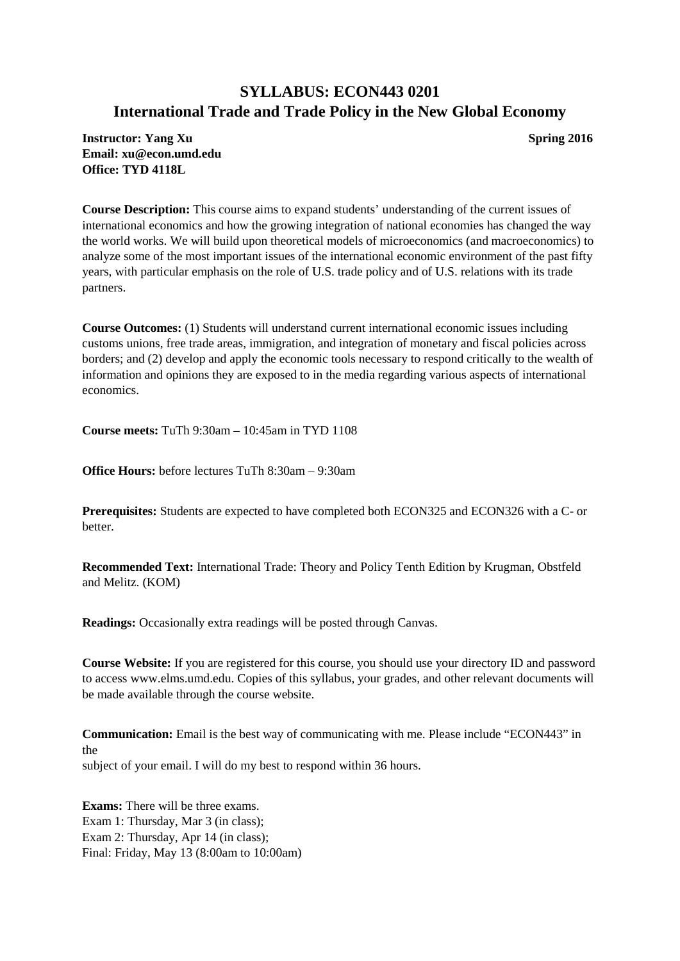## **SYLLABUS: ECON443 0201 International Trade and Trade Policy in the New Global Economy**

**Instructor: Yang Xu** Spring 2016 **Email: xu@econ.umd.edu Office: TYD 4118L**

**Course Description:** This course aims to expand students' understanding of the current issues of international economics and how the growing integration of national economies has changed the way the world works. We will build upon theoretical models of microeconomics (and macroeconomics) to analyze some of the most important issues of the international economic environment of the past fifty years, with particular emphasis on the role of U.S. trade policy and of U.S. relations with its trade partners.

**Course Outcomes:** (1) Students will understand current international economic issues including customs unions, free trade areas, immigration, and integration of monetary and fiscal policies across borders; and (2) develop and apply the economic tools necessary to respond critically to the wealth of information and opinions they are exposed to in the media regarding various aspects of international economics.

**Course meets:** TuTh 9:30am – 10:45am in TYD 1108

**Office Hours:** before lectures TuTh 8:30am – 9:30am

**Prerequisites:** Students are expected to have completed both ECON325 and ECON326 with a C- or better.

**Recommended Text:** International Trade: Theory and Policy Tenth Edition by Krugman, Obstfeld and Melitz. (KOM)

**Readings:** Occasionally extra readings will be posted through Canvas.

**Course Website:** If you are registered for this course, you should use your directory ID and password to access www.elms.umd.edu. Copies of this syllabus, your grades, and other relevant documents will be made available through the course website.

**Communication:** Email is the best way of communicating with me. Please include "ECON443" in the subject of your email. I will do my best to respond within 36 hours.

**Exams:** There will be three exams. Exam 1: Thursday, Mar 3 (in class); Exam 2: Thursday, Apr 14 (in class); Final: Friday, May 13 (8:00am to 10:00am)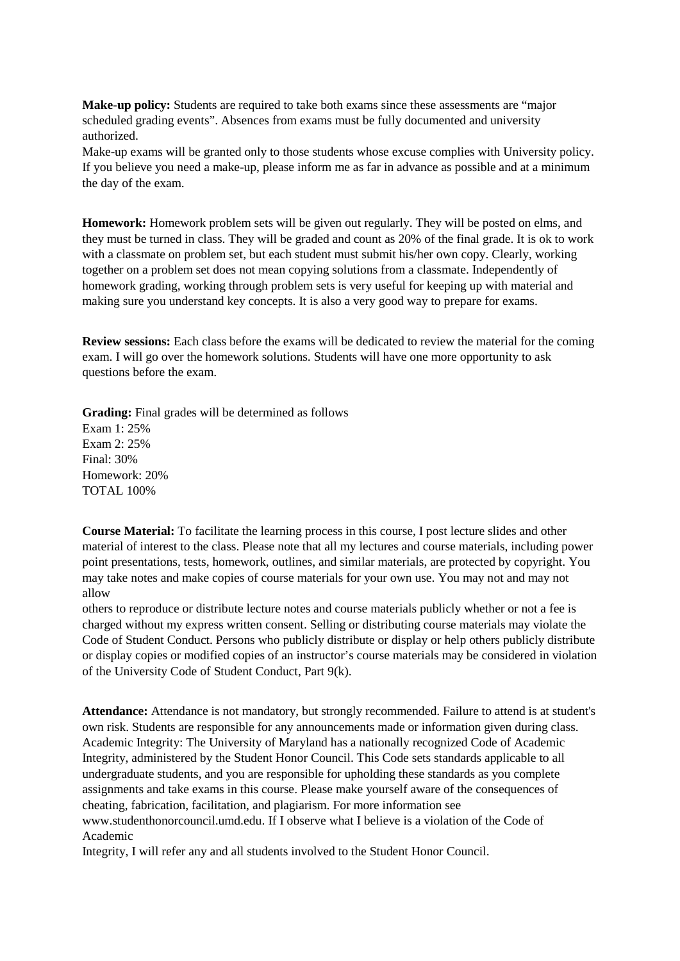**Make-up policy:** Students are required to take both exams since these assessments are "major scheduled grading events". Absences from exams must be fully documented and university authorized.

Make-up exams will be granted only to those students whose excuse complies with University policy. If you believe you need a make-up, please inform me as far in advance as possible and at a minimum the day of the exam.

**Homework:** Homework problem sets will be given out regularly. They will be posted on elms, and they must be turned in class. They will be graded and count as 20% of the final grade. It is ok to work with a classmate on problem set, but each student must submit his/her own copy. Clearly, working together on a problem set does not mean copying solutions from a classmate. Independently of homework grading, working through problem sets is very useful for keeping up with material and making sure you understand key concepts. It is also a very good way to prepare for exams.

**Review sessions:** Each class before the exams will be dedicated to review the material for the coming exam. I will go over the homework solutions. Students will have one more opportunity to ask questions before the exam.

**Grading:** Final grades will be determined as follows Exam 1: 25% Exam 2: 25% Final: 30% Homework: 20% TOTAL 100%

**Course Material:** To facilitate the learning process in this course, I post lecture slides and other material of interest to the class. Please note that all my lectures and course materials, including power point presentations, tests, homework, outlines, and similar materials, are protected by copyright. You may take notes and make copies of course materials for your own use. You may not and may not allow

others to reproduce or distribute lecture notes and course materials publicly whether or not a fee is charged without my express written consent. Selling or distributing course materials may violate the Code of Student Conduct. Persons who publicly distribute or display or help others publicly distribute or display copies or modified copies of an instructor's course materials may be considered in violation of the University Code of Student Conduct, Part 9(k).

**Attendance:** Attendance is not mandatory, but strongly recommended. Failure to attend is at student's own risk. Students are responsible for any announcements made or information given during class. Academic Integrity: The University of Maryland has a nationally recognized Code of Academic Integrity, administered by the Student Honor Council. This Code sets standards applicable to all undergraduate students, and you are responsible for upholding these standards as you complete assignments and take exams in this course. Please make yourself aware of the consequences of cheating, fabrication, facilitation, and plagiarism. For more information see www.studenthonorcouncil.umd.edu. If I observe what I believe is a violation of the Code of Academic

Integrity, I will refer any and all students involved to the Student Honor Council.